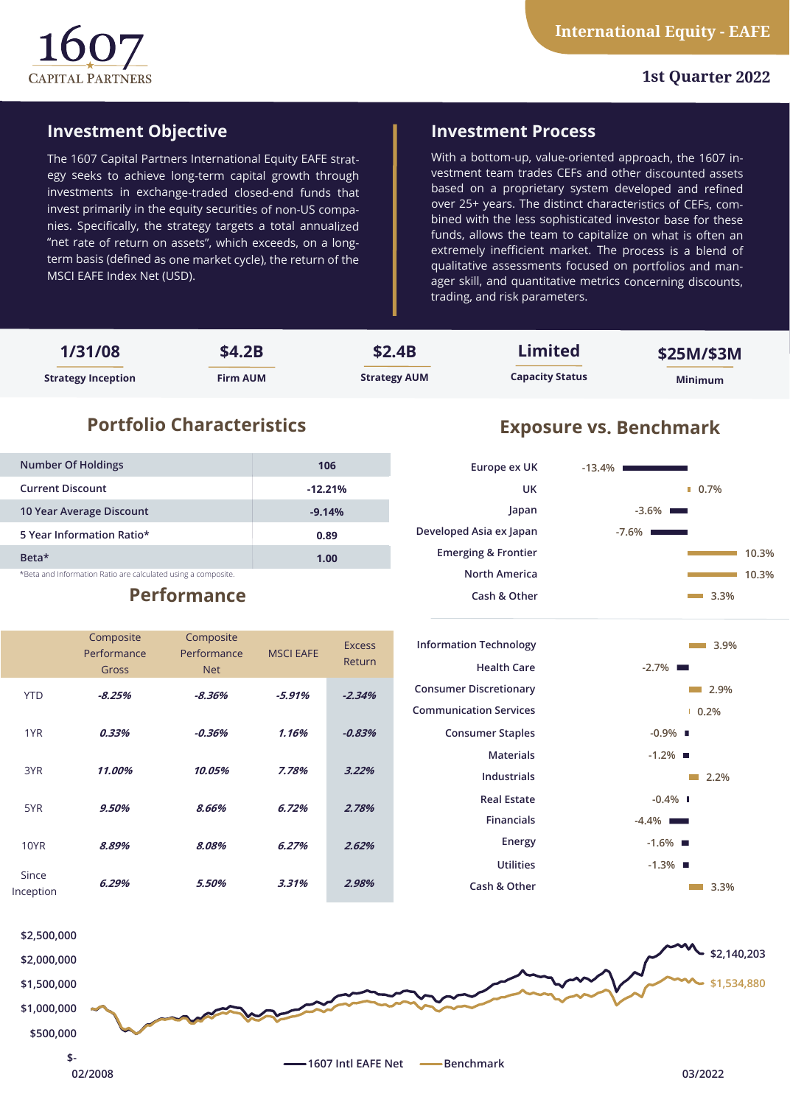

# **1st Quarter 2022**

# **Investment Objective**

The 1607 Capital Partners International Equity EAFE strategy seeks to achieve long-term capital growth through investments in exchange-traded closed-end funds that invest primarily in the equity securities of non-US companies. Specifically, the strategy targets a total annualized "net rate of return on assets", which exceeds, on a longterm basis (defined as one market cycle), the return of the MSCI EAFE Index Net (USD).

# **Investment Process**

With a bottom-up, value-oriented approach, the 1607 investment team trades CEFs and other discounted assets based on a proprietary system developed and refined over 25+ years. The distinct characteristics of CEFs, combined with the less sophisticated investor base for these funds, allows the team to capitalize on what is often an extremely inefficient market. The process is a blend of qualitative assessments focused on portfolios and manager skill, and quantitative metrics concerning discounts, trading, and risk parameters.

| 1/31/08                   | \$4.2B          | \$2.4B              | Limited                | \$25M/\$3M     |
|---------------------------|-----------------|---------------------|------------------------|----------------|
| <b>Strategy Inception</b> | <b>Firm AUM</b> | <b>Strategy AUM</b> | <b>Capacity Status</b> | <b>Minimum</b> |

# **Portfolio Characteristics Exposure vs. Benchmark**

| <b>Number Of Holdings</b>                                     | 106       |  |  |  |
|---------------------------------------------------------------|-----------|--|--|--|
| <b>Current Discount</b>                                       | $-12.21%$ |  |  |  |
| 10 Year Average Discount                                      | $-9.14%$  |  |  |  |
| 5 Year Information Ratio*                                     | 0.89      |  |  |  |
| Beta*                                                         | 1.00      |  |  |  |
| *Beta and Information Ratio are calculated using a composite. |           |  |  |  |

Composite

# **Performance**

Composite





|                    | <u>--pos</u><br>Performance | <u>--poster</u><br>Performance | <b>MSCI EAFE</b> | <b>Excess</b><br>Return | <b>Information Technology</b><br><b>Health Care</b> | 3.9%<br>$-2.7\%$ $\blacksquare$ |
|--------------------|-----------------------------|--------------------------------|------------------|-------------------------|-----------------------------------------------------|---------------------------------|
|                    | Gross                       | <b>Net</b>                     |                  |                         |                                                     |                                 |
| <b>YTD</b>         | $-8.25%$                    | $-8.36\%$                      | $-5.91%$         | $-2.34%$                | <b>Consumer Discretionary</b>                       | 2.9%<br><b>The Co</b>           |
|                    |                             |                                |                  |                         | <b>Communication Services</b>                       | 10.2%                           |
| 1YR                | 0.33%                       | $-0.36\%$                      | 1.16%            | $-0.83%$                | <b>Consumer Staples</b>                             | $-0.9\%$                        |
|                    |                             |                                |                  |                         | <b>Materials</b>                                    | $-1.2\%$ $\blacksquare$         |
| 3YR                | 11.00%                      | 10.05%                         | 7.78%            | 3.22%                   | Industrials                                         | $\blacksquare$ 2.2%             |
| 5YR                | 9.50%                       | 8.66%                          |                  | 6.72%<br>2.78%          | <b>Real Estate</b>                                  | $-0.4\%$ $\blacksquare$         |
|                    |                             |                                |                  |                         | <b>Financials</b>                                   | $-4.4\%$                        |
| 10YR               | 8.89%                       | 8.08%                          | 6.27%            | 2.62%                   | Energy                                              | $-1.6\%$ $\blacksquare$         |
|                    |                             |                                |                  |                         | <b>Utilities</b>                                    | $-1.3\%$ $\blacksquare$         |
| Since<br>Inception | 6.29%                       | 5.50%                          | 3.31%            | 2.98%                   | Cash & Other                                        | 3.3%                            |
|                    |                             |                                |                  |                         |                                                     |                                 |